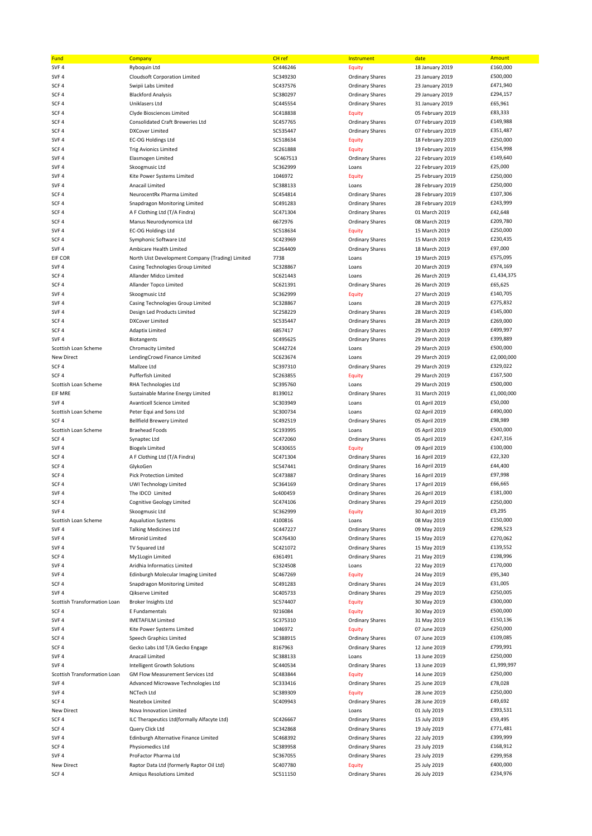| Fund                                             | Company                                                          | CH <sub>ref</sub>    | Instrument                              | date                                 | <b>Amount</b>          |
|--------------------------------------------------|------------------------------------------------------------------|----------------------|-----------------------------------------|--------------------------------------|------------------------|
| SVF 4                                            | Ryboquin Ltd                                                     | SC446246             | <b>Equity</b>                           | 18 January 2019                      | £160,000               |
| SVF <sub>4</sub>                                 | <b>Cloudsoft Corporation Limited</b>                             | SC349230             | <b>Ordinary Shares</b>                  | 23 January 2019                      | £500,000               |
| SCF <sub>4</sub>                                 | Swipii Labs Limited                                              | SC437576             | <b>Ordinary Shares</b>                  | 23 January 2019                      | £471,940               |
| SCF <sub>4</sub>                                 | <b>Blackford Analysis</b>                                        | SC380297             | <b>Ordinary Shares</b>                  | 29 January 2019                      | £294,157               |
| SCF4                                             | Uniklasers Ltd                                                   | SC445554             | <b>Ordinary Shares</b>                  | 31 January 2019                      | £65,961                |
| SCF <sub>4</sub>                                 | Clyde Biosciences Limited                                        | SC418838             | Equity                                  | 05 February 2019                     | £83,333                |
| SCF <sub>4</sub>                                 | <b>Consolidated Craft Breweries Ltd</b>                          | SC457765             | <b>Ordinary Shares</b>                  | 07 February 2019                     | £149,988               |
| SCF <sub>4</sub>                                 | <b>DXCover Limited</b>                                           | SC535447             | <b>Ordinary Shares</b>                  | 07 February 2019                     | £351,487               |
| SVF <sub>4</sub>                                 | EC-OG Holdings Ltd                                               | SC518634             | <b>Equity</b>                           | 18 February 2019                     | £250,000               |
| SCF <sub>4</sub><br>SVF <sub>4</sub>             | <b>Trig Avionics Limited</b>                                     | SC261888<br>SC467513 | <b>Equity</b><br><b>Ordinary Shares</b> | 19 February 2019<br>22 February 2019 | £154,998<br>£149,640   |
| SVF <sub>4</sub>                                 | Elasmogen Limited<br>Skoogmusic Ltd                              | SC362999             | Loans                                   | 22 February 2019                     | £25,000                |
| SVF <sub>4</sub>                                 | Kite Power Systems Limited                                       | 1046972              | <b>Equity</b>                           | 25 February 2019                     | £250,000               |
| SVF <sub>4</sub>                                 | Anacail Limited                                                  | SC388133             | Loans                                   | 28 February 2019                     | £250,000               |
| SCF <sub>4</sub>                                 | NeurocentRx Pharma Limited                                       | SC454814             | <b>Ordinary Shares</b>                  | 28 February 2019                     | £107,306               |
| SCF <sub>4</sub>                                 | Snapdragon Monitoring Limited                                    | SC491283             | <b>Ordinary Shares</b>                  | 28 February 2019                     | £243,999               |
| SCF <sub>4</sub>                                 | A F Clothing Ltd (T/A Findra)                                    | SC471304             | <b>Ordinary Shares</b>                  | 01 March 2019                        | £42,648                |
| SCF <sub>4</sub>                                 | Manus Neurodynomica Ltd                                          | 6672976              | <b>Ordinary Shares</b>                  | 08 March 2019                        | £209,780               |
| SVF <sub>4</sub>                                 | <b>EC-OG Holdings Ltd</b>                                        | SC518634             | Equity                                  | 15 March 2019                        | £250,000               |
| SCF <sub>4</sub>                                 | Symphonic Software Ltd                                           | SC423969             | <b>Ordinary Shares</b>                  | 15 March 2019                        | £230,435               |
| SVF <sub>4</sub>                                 | Ambicare Health Limited                                          | SC264409             | <b>Ordinary Shares</b>                  | 18 March 2019                        | £97,000                |
| EIF COR                                          | North Uist Development Company (Trading) Limited                 | 7738                 | Loans                                   | 19 March 2019                        | £575,095               |
| SVF <sub>4</sub>                                 | Casing Technologies Group Limited                                | SC328867             | Loans                                   | 20 March 2019                        | £974,169               |
| SCF4                                             | Allander Midco Limited                                           | SC621443             | Loans                                   | 26 March 2019                        | £1,434,375             |
| SCF <sub>4</sub>                                 | Allander Topco Limited                                           | SC621391             | <b>Ordinary Shares</b>                  | 26 March 2019                        | £65,625                |
| SVF <sub>4</sub>                                 | Skoogmusic Ltd                                                   | SC362999             | <b>Equity</b>                           | 27 March 2019                        | £140,705               |
| SVF <sub>4</sub>                                 | Casing Technologies Group Limited                                | SC328867             | Loans                                   | 28 March 2019                        | £275,832               |
| SVF <sub>4</sub>                                 | Design Led Products Limited                                      | SC258229             | <b>Ordinary Shares</b>                  | 28 March 2019                        | £145,000               |
| SCF <sub>4</sub>                                 | <b>DXCover Limited</b><br><b>Adaptix Limited</b>                 | SC535447             | <b>Ordinary Shares</b>                  | 28 March 2019                        | £269,000<br>£499,997   |
| SCF <sub>4</sub><br>SVF <sub>4</sub>             |                                                                  | 6857417<br>SC495625  | <b>Ordinary Shares</b>                  | 29 March 2019<br>29 March 2019       | £399,889               |
| Scottish Loan Scheme                             | Biotangents<br><b>Chromacity Limited</b>                         | SC442724             | <b>Ordinary Shares</b><br>Loans         | 29 March 2019                        | £500,000               |
| <b>New Direct</b>                                | LendingCrowd Finance Limited                                     | SC623674             | Loans                                   | 29 March 2019                        | £2,000,000             |
| SCF <sub>4</sub>                                 | Mallzee Ltd                                                      | SC397310             | <b>Ordinary Shares</b>                  | 29 March 2019                        | £329,022               |
| SCF <sub>4</sub>                                 | Pufferfish Limited                                               | SC263855             | <b>Equity</b>                           | 29 March 2019                        | £167,500               |
| Scottish Loan Scheme                             | RHA Technologies Ltd                                             | SC395760             | Loans                                   | 29 March 2019                        | £500,000               |
| <b>EIF MRE</b>                                   | Sustainable Marine Energy Limited                                | 8139012              | <b>Ordinary Shares</b>                  | 31 March 2019                        | £1,000,000             |
| SVF <sub>4</sub>                                 | Avanticell Science Limited                                       | SC303949             | Loans                                   | 01 April 2019                        | £50,000                |
| Scottish Loan Scheme                             | Peter Equi and Sons Ltd                                          | SC300734             | Loans                                   | 02 April 2019                        | £490,000               |
| SCF <sub>4</sub>                                 | <b>Bellfield Brewery Limited</b>                                 | SC492519             | <b>Ordinary Shares</b>                  | 05 April 2019                        | £98,989                |
| Scottish Loan Scheme                             | <b>Braehead Foods</b>                                            | SC193995             | Loans                                   | 05 April 2019                        | £500,000               |
| SCF <sub>4</sub>                                 | Synaptec Ltd                                                     | SC472060             | <b>Ordinary Shares</b>                  | 05 April 2019                        | £247,316               |
| SVF <sub>4</sub>                                 | <b>Biogelx Limited</b>                                           | SC430655             | Equity                                  | 09 April 2019                        | £100,000               |
| SCF <sub>4</sub>                                 | A F Clothing Ltd (T/A Findra)                                    | SC471304             | <b>Ordinary Shares</b>                  | 16 April 2019                        | £22,320                |
| SCF <sub>4</sub>                                 | GlykoGen                                                         | SC547441             | <b>Ordinary Shares</b>                  | 16 April 2019                        | £44,400                |
| SCF <sub>4</sub>                                 | <b>Pick Protection Limited</b>                                   | SC473887             | <b>Ordinary Shares</b>                  | 16 April 2019                        | £97,998                |
| SCF4                                             | <b>UWI Technology Limited</b>                                    | SC364169             | <b>Ordinary Shares</b>                  | 17 April 2019                        | £66,665                |
| SVF <sub>4</sub>                                 | The IDCO Limited                                                 | Sc400459             | <b>Ordinary Shares</b>                  | 26 April 2019                        | £181,000               |
| SCF4<br>SVF 4                                    | Cognitive Geology Limited<br>Skoogmusic Ltd                      | SC474106<br>SC362999 | Ordinary Shares                         | 29 April 2019<br>30 April 2019       | £250,000<br>£9,295     |
| Scottish Loan Scheme                             | <b>Aqualution Systems</b>                                        | 4100816              | <b>Equity</b><br>Loans                  | 08 May 2019                          | £150,000               |
| SVF <sub>4</sub>                                 | <b>Talking Medicines Ltd</b>                                     | SC447227             | <b>Ordinary Shares</b>                  | 09 May 2019                          | £298,523               |
| SVF <sub>4</sub>                                 | Mironid Limited                                                  | SC476430             | <b>Ordinary Shares</b>                  | 15 May 2019                          | £270,062               |
| SVF <sub>4</sub>                                 | TV Squared Ltd                                                   | SC421072             | <b>Ordinary Shares</b>                  | 15 May 2019                          | £139,552               |
| SCF <sub>4</sub>                                 | My1Login Limited                                                 | 6361491              | <b>Ordinary Shares</b>                  | 21 May 2019                          | £198,996               |
| SVF <sub>4</sub>                                 | Aridhia Informatics Limited                                      | SC324508             | Loans                                   | 22 May 2019                          | £170,000               |
| SVF <sub>4</sub>                                 | Edinburgh Molecular Imaging Limited                              | SC467269             | Equity                                  | 24 May 2019                          | £95,340                |
| SCF <sub>4</sub>                                 | Snapdragon Monitoring Limited                                    | SC491283             | <b>Ordinary Shares</b>                  | 24 May 2019                          | £31,005                |
| SVF <sub>4</sub>                                 | <b>Qikserve Limited</b>                                          | SC405733             | <b>Ordinary Shares</b>                  | 29 May 2019                          | £250,005               |
| Scottish Transformation Loan                     | Broker Insights Ltd                                              | SC574407             | <b>Equity</b>                           | 30 May 2019                          | £300,000               |
| SCF4                                             | E Fundamentals                                                   | 9216084              | <b>Equity</b>                           | 30 May 2019                          | £500,000               |
| SVF 4                                            | <b>IMETAFILM Limited</b>                                         | SC375310             | <b>Ordinary Shares</b>                  | 31 May 2019                          | £150,136               |
| SVF <sub>4</sub>                                 | Kite Power Systems Limited                                       | 1046972              | <b>Equity</b>                           | 07 June 2019                         | £250,000               |
| SCF <sub>4</sub>                                 | Speech Graphics Limited                                          | SC388915             | <b>Ordinary Shares</b>                  | 07 June 2019                         | £109,085               |
| SCF <sub>4</sub>                                 | Gecko Labs Ltd T/A Gecko Engage                                  | 8167963              | <b>Ordinary Shares</b>                  | 12 June 2019                         | £799,991               |
| SVF <sub>4</sub>                                 | Anacail Limited                                                  | SC388133             | Loans                                   | 13 June 2019                         | £250,000               |
| SVF <sub>4</sub><br>Scottish Transformation Loan | Intelligent Growth Solutions<br>GM Flow Measurement Services Ltd | SC440534<br>SC483844 | Ordinary Shares<br><b>Equity</b>        | 13 June 2019<br>14 June 2019         | £1,999,997<br>£250,000 |
| SVF <sub>4</sub>                                 | Advanced Microwave Technologies Ltd                              | SC333416             | Ordinary Shares                         | 25 June 2019                         | £78,028                |
| SVF <sub>4</sub>                                 | NCTech Ltd                                                       | SC389309             | Equity                                  | 28 June 2019                         | £250,000               |
| SCF <sub>4</sub>                                 | Neatebox Limited                                                 | SC409943             | Ordinary Shares                         | 28 June 2019                         | £49,692                |
| <b>New Direct</b>                                | Nova Innovation Limited                                          |                      | Loans                                   | 01 July 2019                         | £393,531               |
| SCF <sub>4</sub>                                 | ILC Therapeutics Ltd(formally Alfacyte Ltd)                      | SC426667             | <b>Ordinary Shares</b>                  | 15 July 2019                         | £59,495                |
| SCF <sub>4</sub>                                 | Query Click Ltd                                                  | SC342868             | Ordinary Shares                         | 19 July 2019                         | £771,481               |
| SVF <sub>4</sub>                                 | Edinburgh Alternative Finance Limited                            | SC468392             | <b>Ordinary Shares</b>                  | 22 July 2019                         | £399,999               |
| SCF4                                             | Physiomedics Ltd                                                 | SC389958             | <b>Ordinary Shares</b>                  | 23 July 2019                         | £168,912               |
| SVF <sub>4</sub>                                 | ProFactor Pharma Ltd                                             | SC367055             | Ordinary Shares                         | 23 July 2019                         | £299,958               |
| New Direct                                       | Raptor Data Ltd (formerly Raptor Oil Ltd)                        | SC407780             | Equity                                  | 25 July 2019                         | £400,000               |
| SCF4                                             | Amiqus Resolutions Limited                                       | SC511150             | Ordinary Shares                         | 26 July 2019                         | £234,976               |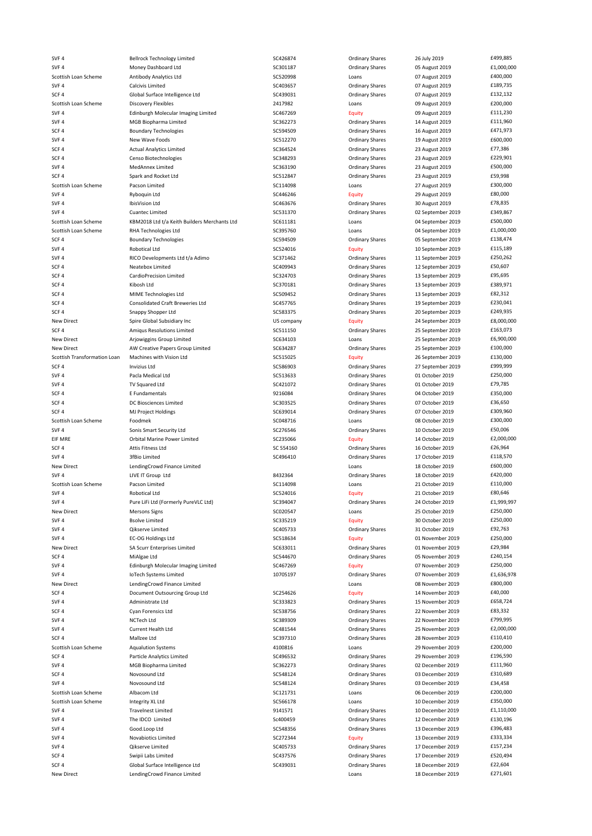SVF 4 Bellrock Technology Limited SC426874 Ordinary Shares 26 July 2019 E499,885<br>SVF 4 Money Dashboard Ltd SC301187 Ordinary Shares 05 August 2019 £1,000,00 SVF 4 Money Dashboard Ltd SC301187 Ordinary Shares 05 August 2019 £1,000,000 Scottish Loan Scheme Antibody Analytics Ltd Scottish Loans Loans Loans Danalytics 2019 E400,000 SVF 4 Calcivis Limited SC403657 Ordinary Shares 07 August 2019 £189,735 SCF 4 Global Surface Intelligence Ltd<br>Scottish Loan Scheme Discovery Flexibles by Care and the CA17982 Loans Coans 09 August 2019 £200,000 Scottish Loan Scheme Discovery Flexibles 2417982 SVF 4 Edinburgh Molecular Imaging Limited SC467269 Equity 09 August 2019 £111,230 SVF 4 MGB Biopharma Limited SC362273 Ordinary Shares 14 August 2019 £111,960 SCF 4 Boundary Technologies SC594509 Ordinary Shares 16 August 2019 £471,973 SVF 4 New Wave Foods SC512270 Ordinary Shares 19 August 2019 £600,000 SCF 4 Actual Analytics Limited SC364524 Ordinary Shares 23 August 2019 £77,386 SCF 4 Censo Biotechnologies CFF 4 Censo Biotechnologies CFF 4 Censo Biotechnologies CFF 4 CENSO 23 August 2019<br>SC363190 Ordinary Shares 23 August 2019 £500,000 SVF 4 MedAnnex Limited SC363190 Ordinary Shares 23 August 2019 £500,000 SCF 4 Spark and Rocket Ltd SC512847 SC512847 Ordinary Shares 23 August 2019 559,998 Scottish Loan Scheme Pacson Limited Pacson and the SC114098 Loans Loans 27 August 2019 E300,000 SVF 4 Ryboquin Ltd SC446246 Equity 29 August 2019 £80,000 SVF 4 IbisVision Ltd SC463676 Ordinary Shares 30 August 2019 £78,835 SVF 4 Cuantec Limited SC531370 Ordinary Shares 02 September 2019 £349,867 Scottish Loan Scheme KBM2018 Ltd t/a Keith Builders Merchants Ltd SC611181 Loans 04 September 2019 £500,000 Scottish Loan Scheme RHA Technologies Ltd SC395760 Loans Loans 04 September 2019 £1,000,000 SCF 4 Boundary Technologies SC594509 SC594509 Ordinary Shares 05 September 2019 E138,474 SVF 4 Robotical Ltd SC524016 Equity 10 September 2019 £115,189 SVF 4 RICO Developments Ltd t/a Adimo SC371462 Ordinary Shares 11 September 2019 £250,262 SCF 4 **SCF 4** Neatebox Limited **SCA09943** SC409943 Ordinary Shares 12 September 2019 **ESO**,607 SCF 4 CardioPrecision Limited SC324703 Ordinary Shares 13 September 2019 £95,695 SCF 4 Kibosh Ltd SC370181 Ordinary Shares 13 September 2019 £389,971 SCF 4 MIME Technologies Ltd SC509452 Ordinary Shares 13 September 2019 E82,312 SCF 4 Consolidated Craft Breweries Ltd SC457765 Ordinary Shares 19 September 2019 6230,041 SCF 4 Snappy Shopper Ltd Snappy Shopper Ltd SC583375 September 2019 5 SC583375 Ordinary Shares 20 September 2019 New Direct Spire Global Subsidiary Inc Subsidiary Inc Clubal Subsidiary Inc US company Company Equity 24 September 2019 £8,000,000 SCF 4 Amiqus Resolutions Limited SC511150 Ordinary Shares 25 September 2019 £163,073 New Direct **Arjowiggins Group Limited** SC634103 Loans Loans 25 September 2019 E6,900,000 New Direct AW Creative Papers Group Limited SC634287 Ordinary Shares 25 September 2019 £100,000 Scottish Transformation Loan Machines with Vision Ltd SCS15025 SC515025 Equity 26 September 2019 £130,000 SCF 4 The SCESS of the SCESS of SC586903 Ordinary Shares 27 September 2019 27 September 2019 2019 2019 2019 20 SVF 4 **Pacla Medical Ltd** SC513633 Ordinary Shares 01 October 2019 **£250,000** E250,000 SVF 4 TV Squared Ltd SC421072 SC421072 Ordinary Shares 01 October 2019 E79,785 SCF 4 **E Fundamentals 1350,000** E Fundamentals CFF 100 E350,000 B 216084 Ordinary Shares 04 October 2019 E350,000 SCF 4 DC Biosciences Limited SC303525 SCF 4 DC Biosciences Limited SC5003525 Creaters of DC Discover 2019 E36,650 SCF 4 MJ Project Holdings SC639014 SC639014 Ordinary Shares 07 October 2019 E309,960 Scottish Loan Scheme Foodmek Foodmek SCO48716 Loans Loans 08 October 2019 £300,000 SVF 4 Sonis Smart Security Ltd SC276546 SC276546 Ordinary Shares 10 October 2019 E50,006<br>SC235066 FIF MRF 14 October 2019 £2.000.000 EIF MRE Orbital Marine Power Limited SC235066 Equity 14 October 2019 £2,000,000 SCF 4 Attis Fitness Ltd SC 554160 SC 554160 Ordinary Shares 16 October 2019 £26,964 SCF 4 SVF 4 3fBio Limited 3fBio Limited SC496410 SC496410 Ordinary Shares 17 October 2019 56118,570 New Direct 1992 LendingCrowd Finance Limited<br>18 October 2019 1992 LIVE IT Group Ltd<br>18 October 2019 1992 2019 1993 2010 2020 SVF 4 LIVE IT Group Ltd **8432364** BOT BOT ASSESS ARE SERVER AND THE SERVER SHARES AND RESERVER SHARES SERVER SHARES Scottish Loan Scheme Pacson Limited **SC114098** Loans 21 October 2019 E110,000 SVF 4 Robotical Ltd SC524016 Equity 21 October 2019 £80,646 SVF 4 Pure LiFi Ltd (Formerly PureVLC Ltd) SC394047 Ordinary Shares 24 October 2019 £1,999,997 New Direct **Mersons Signs Scotter SCOLUS** SCO20547 Loans 25 October 2019 E250,000 SVF 4 Bsolve Limited SC335219 Equity 30 October 2019 £250,000 SVF 4 Cikserve Limited COVERSIAN SCA05733 Continently Scanners 31 October 2019 E92,763 SVF 4 EC-OG Holdings Ltd SC518634 Equity 01 November 2019 £250,000 New Direct SA Scurr Enterprises Limited SC633011 Ordinary Shares 01 November 2019 £29,984 SCF 4 MiAlgae Ltd SC544670 SC544670 Ordinary Shares 05 November 2019 £240,154 SVF 4 Edinburgh Molecular Imaging Limited SC467269 Equity 07 November 2019 £250,000 SVF 4 107ech Systems Limited 10705197 10705197 Ordinary Shares 07 November 2019 £1,636,978 New Direct **LendingCrowd Finance Limited** Loans Loans Loans **1890,000 Loans** 1880,000 **E800,000** SCF 4 SCRS 2019 Document Outsourcing Group Ltd SCD 50254626 Equity Equity 14 November 2019 E40,000<br>SCS Equity 15 November 2019 E658,724 SVF 4 **Administrate Ltd** SC333823 **SC333823** Ordinary Shares 15 November 2019 £658,724 SCF 4 Cyan Forensics Ltd SC538756 Craminal SCS58756 Craminary Shares 22 November 2019 E83,332 SVF 4 NCTech Ltd SC389309 Ordinary Shares 22 November 2019 £799,995 SVF 4 Current Health Ltd SC481544 Ordinary Shares 25 November 2019 £2,000,000 SCF 4 Mallzee Ltd SC397310 SC397310 Ordinary Shares 28 November 2019 £110,410 Scottish Loan Scheme Aqualution Systems and Scottish Loans 29 November 2019 E200,000 SCF 4 **SCF 4** Particle Analytics Limited SC496532 SC496532 Ordinary Shares 29 November 2019 £196,590 SVF 4 MGB Biopharma Limited SC362273 Ordinary Shares 02 December 2019 £111,960 SCF 4 Novosound Ltd SC548124 SC548124 Ordinary Shares 03 December 2019 £310,689 SVF 4 **SCS48124** Ordinary Shares 03 December 2019 **E34,458** CS4,458 Scottish Loan Scheme Albacom Ltd **Albacom Ltd** SC121731 Loans Loans 06 December 2019 £200,000 Scottish Loan Scheme Integrity XL Ltd **SCS66178** Loans Loans 10 December 2019 £350,000 SVF 4 Travelnest Limited CHA Strawber 2019 and Strawber 2019 and Strawber 2019 and Strawber 2019 51,110,000 SVF 4 The IDCO Limited Sc400459 Sc400459 Ordinary Shares 12 December 2019 E130,196 SVF 4 Good.Loop Ltd Socot And SC548356 Ordinary Shares 13 December 2019 E396,483 SVF 4 Novabiotics Limited COM SC272344 Equity 13 December 2019 £333,334 SVF 4 Clikserve Limited Contact Muslim SC405733 Cordinary Shares 17 December 2019 E157,234 SCF 4 Swipii Labs Limited SCA37576 Ordinary Shares 17 December 2019 19 E520,494 SCF 4 Global Surface Intelligence Ltd SC439031 Ordinary Shares 18 December 2019 £22,604 New Direct **LendingCrowd Finance Limited** Lease LendingCrowd Finance Limited **Lease Lease Loans** 18 December 2019 **E271,601**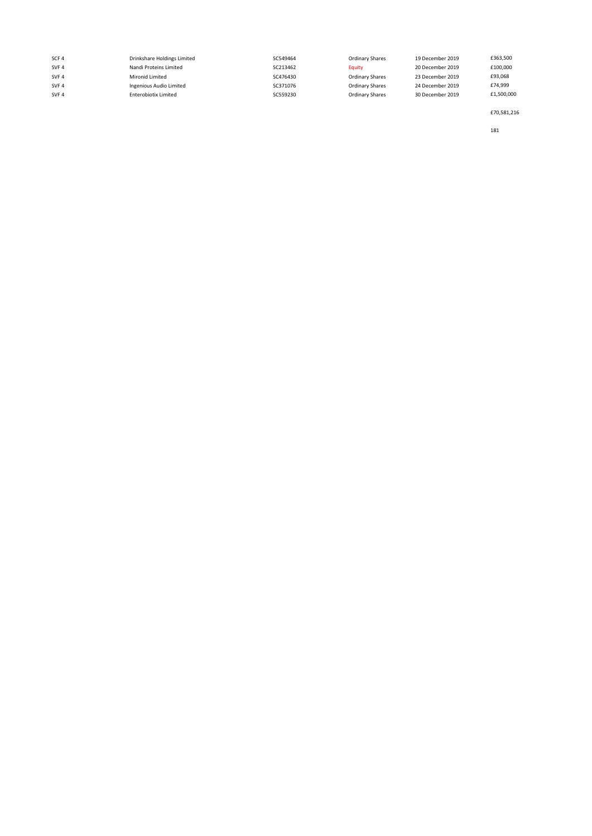| SCF <sub>4</sub> | Drinkshare Holdings Limited | SC549464 | Ordinary Shares | 19 December 2019 | £363,500   |
|------------------|-----------------------------|----------|-----------------|------------------|------------|
| SVF <sub>4</sub> | Nandi Proteins Limited      | SC213462 | Equity          | 20 December 2019 | £100,000   |
| SVF <sub>4</sub> | Mironid Limited             | SC476430 | Ordinary Shares | 23 December 2019 | £93,068    |
| SVF 4            | Ingenious Audio Limited     | SC371076 | Ordinary Shares | 24 December 2019 | £74,999    |
| SVF <sub>4</sub> | <b>Enterobiotix Limited</b> | SC559230 | Ordinary Shares | 30 December 2019 | £1,500,000 |
|                  |                             |          |                 |                  |            |

£70,581,216

181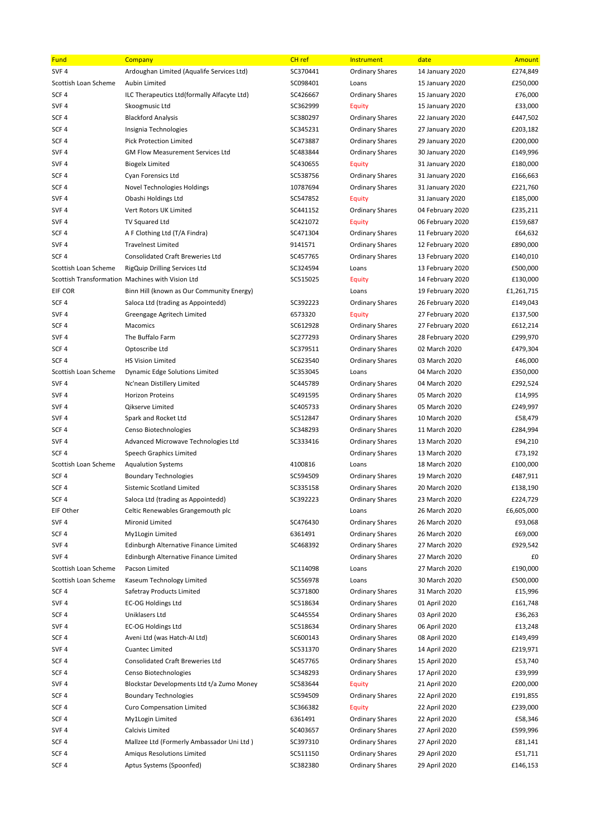| <b>Fund</b>          | Company                                          | CH <sub>ref</sub> | Instrument             | date             | Amount     |
|----------------------|--------------------------------------------------|-------------------|------------------------|------------------|------------|
| SVF <sub>4</sub>     | Ardoughan Limited (Aqualife Services Ltd)        | SC370441          | <b>Ordinary Shares</b> | 14 January 2020  | £274,849   |
| Scottish Loan Scheme | Aubin Limited                                    | SC098401          | Loans                  | 15 January 2020  | £250,000   |
| SCF <sub>4</sub>     | ILC Therapeutics Ltd(formally Alfacyte Ltd)      | SC426667          | <b>Ordinary Shares</b> | 15 January 2020  | £76,000    |
| SVF <sub>4</sub>     | Skoogmusic Ltd                                   | SC362999          | <b>Equity</b>          | 15 January 2020  | £33,000    |
| SCF <sub>4</sub>     | <b>Blackford Analysis</b>                        | SC380297          | <b>Ordinary Shares</b> | 22 January 2020  | £447,502   |
| SCF <sub>4</sub>     | Insignia Technologies                            | SC345231          | <b>Ordinary Shares</b> | 27 January 2020  | £203,182   |
| SCF <sub>4</sub>     | <b>Pick Protection Limited</b>                   | SC473887          | <b>Ordinary Shares</b> | 29 January 2020  | £200,000   |
| SVF <sub>4</sub>     | <b>GM Flow Measurement Services Ltd</b>          | SC483844          | <b>Ordinary Shares</b> | 30 January 2020  | £149,996   |
| SVF <sub>4</sub>     | <b>Biogelx Limited</b>                           | SC430655          | <b>Equity</b>          | 31 January 2020  | £180,000   |
| SCF <sub>4</sub>     | <b>Cyan Forensics Ltd</b>                        | SC538756          | <b>Ordinary Shares</b> | 31 January 2020  | £166,663   |
| SCF <sub>4</sub>     | Novel Technologies Holdings                      | 10787694          | <b>Ordinary Shares</b> | 31 January 2020  | £221,760   |
| SVF <sub>4</sub>     | Obashi Holdings Ltd                              | SC547852          | <b>Equity</b>          | 31 January 2020  | £185,000   |
| SVF <sub>4</sub>     | Vert Rotors UK Limited                           | SC441152          | <b>Ordinary Shares</b> | 04 February 2020 | £235,211   |
| SVF <sub>4</sub>     | TV Squared Ltd                                   | SC421072          | <b>Equity</b>          | 06 February 2020 | £159,687   |
| SCF <sub>4</sub>     | A F Clothing Ltd (T/A Findra)                    | SC471304          | <b>Ordinary Shares</b> | 11 February 2020 | £64,632    |
| SVF <sub>4</sub>     | <b>Travelnest Limited</b>                        | 9141571           | <b>Ordinary Shares</b> | 12 February 2020 | £890,000   |
| SCF <sub>4</sub>     | <b>Consolidated Craft Breweries Ltd</b>          | SC457765          | <b>Ordinary Shares</b> | 13 February 2020 | £140,010   |
| Scottish Loan Scheme | RigQuip Drilling Services Ltd                    | SC324594          | Loans                  | 13 February 2020 | £500,000   |
|                      | Scottish Transformation Machines with Vision Ltd | SC515025          | <b>Equity</b>          | 14 February 2020 | £130,000   |
| EIF COR              | Binn Hill (known as Our Community Energy)        |                   | Loans                  | 19 February 2020 | £1,261,715 |
| SCF <sub>4</sub>     | Saloca Ltd (trading as Appointedd)               | SC392223          | <b>Ordinary Shares</b> | 26 February 2020 | £149,043   |
| SVF <sub>4</sub>     | Greengage Agritech Limited                       | 6573320           | <b>Equity</b>          | 27 February 2020 | £137,500   |
| SCF <sub>4</sub>     | Macomics                                         | SC612928          | <b>Ordinary Shares</b> | 27 February 2020 | £612,214   |
| SVF <sub>4</sub>     | The Buffalo Farm                                 | SC277293          | <b>Ordinary Shares</b> | 28 February 2020 | £299,970   |
| SCF <sub>4</sub>     | Optoscribe Ltd                                   | SC379511          | <b>Ordinary Shares</b> | 02 March 2020    | £479,304   |
| SCF <sub>4</sub>     | <b>HS Vision Limited</b>                         | SC623540          | <b>Ordinary Shares</b> | 03 March 2020    | £46,000    |
| Scottish Loan Scheme | <b>Dynamic Edge Solutions Limited</b>            | SC353045          | Loans                  | 04 March 2020    | £350,000   |
| SVF <sub>4</sub>     | Nc'nean Distillery Limited                       | SC445789          | <b>Ordinary Shares</b> | 04 March 2020    | £292,524   |
| SVF <sub>4</sub>     | <b>Horizon Proteins</b>                          | SC491595          | <b>Ordinary Shares</b> | 05 March 2020    | £14,995    |
| SVF <sub>4</sub>     | Qikserve Limited                                 | SC405733          | <b>Ordinary Shares</b> | 05 March 2020    | £249,997   |
| SVF <sub>4</sub>     | Spark and Rocket Ltd                             | SC512847          | <b>Ordinary Shares</b> | 10 March 2020    | £58,479    |
| SCF <sub>4</sub>     | Censo Biotechnologies                            | SC348293          | <b>Ordinary Shares</b> | 11 March 2020    | £284,994   |
| SVF <sub>4</sub>     | Advanced Microwave Technologies Ltd              | SC333416          | <b>Ordinary Shares</b> | 13 March 2020    | £94,210    |
| SCF <sub>4</sub>     | Speech Graphics Limited                          |                   | <b>Ordinary Shares</b> | 13 March 2020    | £73,192    |
| Scottish Loan Scheme | <b>Aqualution Systems</b>                        | 4100816           | Loans                  | 18 March 2020    | £100,000   |
| SCF <sub>4</sub>     | <b>Boundary Technologies</b>                     | SC594509          | <b>Ordinary Shares</b> | 19 March 2020    | £487,911   |
| SCF4                 | Sistemic Scotland Limited                        | SC335158          | <b>Ordinary Shares</b> | 20 March 2020    | £138,190   |
| SCF <sub>4</sub>     | Saloca Ltd (trading as Appointedd)               | SC392223          | <b>Ordinary Shares</b> | 23 March 2020    | £224,729   |
| EIF Other            | Celtic Renewables Grangemouth plc                |                   | Loans                  | 26 March 2020    | £6,605,000 |
| SVF <sub>4</sub>     | Mironid Limited                                  | SC476430          | <b>Ordinary Shares</b> | 26 March 2020    | £93,068    |
| SCF <sub>4</sub>     | My1Login Limited                                 | 6361491           | <b>Ordinary Shares</b> | 26 March 2020    | £69,000    |
| SVF <sub>4</sub>     | Edinburgh Alternative Finance Limited            | SC468392          | <b>Ordinary Shares</b> | 27 March 2020    | £929,542   |
| SVF <sub>4</sub>     | Edinburgh Alternative Finance Limited            |                   | <b>Ordinary Shares</b> | 27 March 2020    | £0         |
| Scottish Loan Scheme | Pacson Limited                                   | SC114098          | Loans                  | 27 March 2020    | £190,000   |
| Scottish Loan Scheme | Kaseum Technology Limited                        | SC556978          | Loans                  | 30 March 2020    | £500,000   |
| SCF <sub>4</sub>     | Safetray Products Limited                        | SC371800          | <b>Ordinary Shares</b> | 31 March 2020    | £15,996    |
| SVF <sub>4</sub>     | <b>EC-OG Holdings Ltd</b>                        | SC518634          | <b>Ordinary Shares</b> | 01 April 2020    | £161,748   |
| SCF <sub>4</sub>     | Uniklasers Ltd                                   | SC445554          | <b>Ordinary Shares</b> | 03 April 2020    | £36,263    |
| SVF <sub>4</sub>     | <b>EC-OG Holdings Ltd</b>                        | SC518634          | <b>Ordinary Shares</b> | 06 April 2020    | £13,248    |
| SCF <sub>4</sub>     | Aveni Ltd (was Hatch-Al Ltd)                     | SC600143          | <b>Ordinary Shares</b> | 08 April 2020    | £149,499   |
| SVF <sub>4</sub>     | <b>Cuantec Limited</b>                           | SC531370          | <b>Ordinary Shares</b> | 14 April 2020    | £219,971   |
| SCF <sub>4</sub>     | <b>Consolidated Craft Breweries Ltd</b>          | SC457765          | <b>Ordinary Shares</b> | 15 April 2020    | £53,740    |
| SCF <sub>4</sub>     | Censo Biotechnologies                            | SC348293          | <b>Ordinary Shares</b> | 17 April 2020    | £39,999    |
| SVF <sub>4</sub>     | Blockstar Developments Ltd t/a Zumo Money        | SC583644          | <b>Equity</b>          | 21 April 2020    | £200,000   |
| SCF <sub>4</sub>     | <b>Boundary Technologies</b>                     | SC594509          | <b>Ordinary Shares</b> | 22 April 2020    | £191,855   |
| SCF <sub>4</sub>     | <b>Curo Compensation Limited</b>                 | SC366382          | <b>Equity</b>          | 22 April 2020    | £239,000   |
| SCF <sub>4</sub>     | My1Login Limited                                 | 6361491           | <b>Ordinary Shares</b> | 22 April 2020    | £58,346    |
| SVF <sub>4</sub>     | Calcivis Limited                                 | SC403657          | <b>Ordinary Shares</b> | 27 April 2020    | £599,996   |
| SCF4                 | Mallzee Ltd (Formerly Ambassador Uni Ltd)        | SC397310          | <b>Ordinary Shares</b> | 27 April 2020    | £81,141    |
| SCF <sub>4</sub>     | Amigus Resolutions Limited                       | SC511150          | <b>Ordinary Shares</b> | 29 April 2020    | £51,711    |
| SCF <sub>4</sub>     | Aptus Systems (Spoonfed)                         | SC382380          | <b>Ordinary Shares</b> | 29 April 2020    | £146,153   |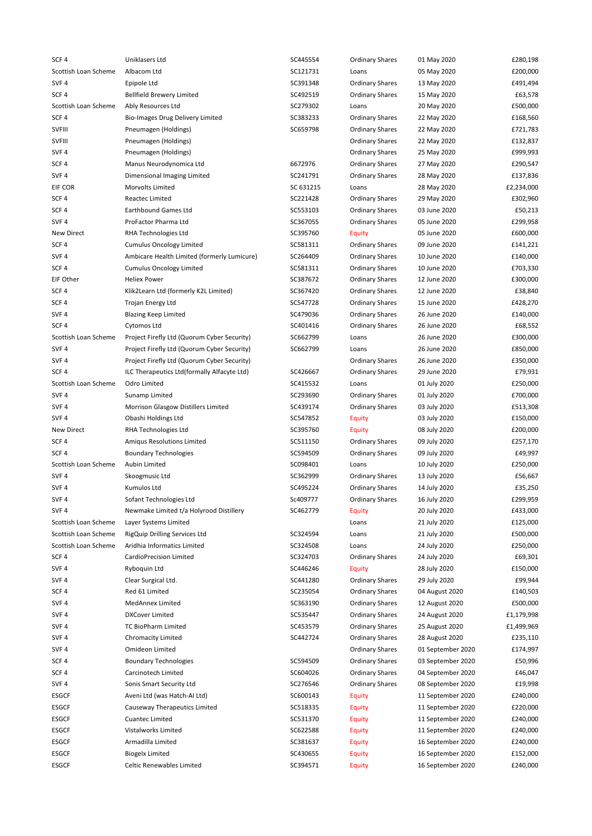| SCF <sub>4</sub>     | Uniklasers Ltd                              | SC445554  | <b>Ordinary Shares</b> | 01 May 2020                  | £280,198   |
|----------------------|---------------------------------------------|-----------|------------------------|------------------------------|------------|
| Scottish Loan Scheme | Albacom Ltd                                 | SC121731  | Loans                  | 05 May 2020                  | £200,000   |
| SVF <sub>4</sub>     | Epipole Ltd                                 | SC391348  | <b>Ordinary Shares</b> | 13 May 2020                  | £491,494   |
| SCF <sub>4</sub>     | <b>Bellfield Brewery Limited</b>            | SC492519  | <b>Ordinary Shares</b> | 15 May 2020                  | £63,578    |
| Scottish Loan Scheme | Ably Resources Ltd                          | SC279302  | Loans                  | 20 May 2020                  | £500,000   |
| SCF <sub>4</sub>     | <b>Bio-Images Drug Delivery Limited</b>     | SC383233  | <b>Ordinary Shares</b> | 22 May 2020                  | £168,560   |
| <b>SVFIII</b>        | Pneumagen (Holdings)                        | SC659798  | <b>Ordinary Shares</b> | 22 May 2020                  | £721,783   |
| SVFIII               | Pneumagen (Holdings)                        |           | <b>Ordinary Shares</b> | 22 May 2020                  | £132,837   |
| SVF <sub>4</sub>     | Pneumagen (Holdings)                        |           | <b>Ordinary Shares</b> | 25 May 2020                  | £999,993   |
| SCF <sub>4</sub>     | Manus Neurodynomica Ltd                     | 6672976   | <b>Ordinary Shares</b> | 27 May 2020                  | £290,547   |
| SVF <sub>4</sub>     | Dimensional Imaging Limited                 | SC241791  | <b>Ordinary Shares</b> | 28 May 2020                  | £137,836   |
| EIF COR              | <b>Morvolts Limited</b>                     | SC 631215 | Loans                  | 28 May 2020                  | £2,234,000 |
| SCF <sub>4</sub>     | <b>Reactec Limited</b>                      | SC221428  | <b>Ordinary Shares</b> | 29 May 2020                  | £302,960   |
| SCF <sub>4</sub>     | <b>Earthbound Games Ltd</b>                 | SC553103  | <b>Ordinary Shares</b> | 03 June 2020                 | £50,213    |
| SVF <sub>4</sub>     | ProFactor Pharma Ltd                        | SC367055  | <b>Ordinary Shares</b> | 05 June 2020                 | £299,958   |
| <b>New Direct</b>    | RHA Technologies Ltd                        | SC395760  | <b>Equity</b>          | 05 June 2020                 | £600,000   |
| SCF4                 | <b>Cumulus Oncology Limited</b>             | SC581311  | <b>Ordinary Shares</b> | 09 June 2020                 | £141,221   |
| SVF <sub>4</sub>     | Ambicare Health Limited (formerly Lumicure) | SC264409  | <b>Ordinary Shares</b> | 10 June 2020                 | £140,000   |
| SCF <sub>4</sub>     | <b>Cumulus Oncology Limited</b>             | SC581311  | <b>Ordinary Shares</b> | 10 June 2020                 | £703,330   |
| EIF Other            | <b>Heliex Power</b>                         | SC387672  | <b>Ordinary Shares</b> | 12 June 2020                 | £300,000   |
| SCF 4                | Klik2Learn Ltd (formerly K2L Limited)       | SC367420  | <b>Ordinary Shares</b> | 12 June 2020                 | £38,840    |
| SCF 4                | Trojan Energy Ltd                           | SC547728  | <b>Ordinary Shares</b> | 15 June 2020                 | £428,270   |
| SVF 4                |                                             | SC479036  |                        | 26 June 2020                 |            |
| SCF <sub>4</sub>     | <b>Blazing Keep Limited</b>                 |           | <b>Ordinary Shares</b> |                              | £140,000   |
|                      | Cytomos Ltd                                 | SC401416  | <b>Ordinary Shares</b> | 26 June 2020<br>26 June 2020 | £68,552    |
| Scottish Loan Scheme | Project Firefly Ltd (Quorum Cyber Security) | SC662799  | Loans                  |                              | £300,000   |
| SVF <sub>4</sub>     | Project Firefly Ltd (Quorum Cyber Security) | SC662799  | Loans                  | 26 June 2020                 | £850,000   |
| SVF <sub>4</sub>     | Project Firefly Ltd (Quorum Cyber Security) |           | <b>Ordinary Shares</b> | 26 June 2020                 | £350,000   |
| SCF <sub>4</sub>     | ILC Therapeutics Ltd(formally Alfacyte Ltd) | SC426667  | <b>Ordinary Shares</b> | 29 June 2020                 | £79,931    |
| Scottish Loan Scheme | Odro Limited                                | SC415532  | Loans                  | 01 July 2020                 | £250,000   |
| SVF <sub>4</sub>     | Sunamp Limited                              | SC293690  | <b>Ordinary Shares</b> | 01 July 2020                 | £700,000   |
| SVF <sub>4</sub>     | Morrison Glasgow Distillers Limited         | SC439174  | <b>Ordinary Shares</b> | 03 July 2020                 | £513,308   |
| SVF <sub>4</sub>     | Obashi Holdings Ltd                         | SC547852  | <b>Equity</b>          | 03 July 2020                 | £150,000   |
| <b>New Direct</b>    | RHA Technologies Ltd                        | SC395760  | <b>Equity</b>          | 08 July 2020                 | £200,000   |
| SCF <sub>4</sub>     | Amigus Resolutions Limited                  | SC511150  | <b>Ordinary Shares</b> | 09 July 2020                 | £257,170   |
| SCF <sub>4</sub>     | <b>Boundary Technologies</b>                | SC594509  | <b>Ordinary Shares</b> | 09 July 2020                 | £49,997    |
| Scottish Loan Scheme | Aubin Limited                               | SC098401  | Loans                  | 10 July 2020                 | £250,000   |
| SVF <sub>4</sub>     | Skoogmusic Ltd                              | SC362999  | <b>Ordinary Shares</b> | 13 July 2020                 | £56,667    |
| SVF <sub>4</sub>     | Kumulos Ltd                                 | SC495224  | <b>Ordinary Shares</b> | 14 July 2020                 | £35,250    |
| SVF <sub>4</sub>     | Sofant Technologies Ltd                     | Sc409777  | <b>Ordinary Shares</b> | 16 July 2020                 | £299,959   |
| SVF 4                | Newmake Limited t/a Holyrood Distillery     | SC462779  | <b>Equity</b>          | 20 July 2020                 | £433,000   |
| Scottish Loan Scheme | Layer Systems Limited                       |           | Loans                  | 21 July 2020                 | £125,000   |
| Scottish Loan Scheme | RigQuip Drilling Services Ltd               | SC324594  | Loans                  | 21 July 2020                 | £500,000   |
| Scottish Loan Scheme | Aridhia Informatics Limited                 | SC324508  | Loans                  | 24 July 2020                 | £250,000   |
| SCF 4                | <b>CardioPrecision Limited</b>              | SC324703  | <b>Ordinary Shares</b> | 24 July 2020                 | £69,301    |
| SVF <sub>4</sub>     | Ryboquin Ltd                                | SC446246  | <b>Equity</b>          | 28 July 2020                 | £150,000   |
| SVF 4                | Clear Surgical Ltd.                         | SC441280  | <b>Ordinary Shares</b> | 29 July 2020                 | £99,944    |
| SCF <sub>4</sub>     | Red 61 Limited                              | SC235054  | <b>Ordinary Shares</b> | 04 August 2020               | £140,503   |
| SVF <sub>4</sub>     | MedAnnex Limited                            | SC363190  | <b>Ordinary Shares</b> | 12 August 2020               | £500,000   |
| SVF <sub>4</sub>     | <b>DXCover Limited</b>                      | SC535447  | <b>Ordinary Shares</b> | 24 August 2020               | £1,179,998 |
| SVF <sub>4</sub>     | TC BioPharm Limited                         | SC453579  | <b>Ordinary Shares</b> | 25 August 2020               | £1,499,969 |
| SVF <sub>4</sub>     | <b>Chromacity Limited</b>                   | SC442724  | <b>Ordinary Shares</b> | 28 August 2020               | £235,110   |
| SVF <sub>4</sub>     | Omideon Limited                             |           | <b>Ordinary Shares</b> | 01 September 2020            | £174,997   |
| SCF <sub>4</sub>     | <b>Boundary Technologies</b>                | SC594509  | <b>Ordinary Shares</b> | 03 September 2020            | £50,996    |
| SCF <sub>4</sub>     | Carcinotech Limited                         | SC604026  | <b>Ordinary Shares</b> | 04 September 2020            | £46,047    |
| SVF <sub>4</sub>     | Sonis Smart Security Ltd                    | SC276546  | <b>Ordinary Shares</b> | 08 September 2020            | £19,998    |
| ESGCF                | Aveni Ltd (was Hatch-Al Ltd)                | SC600143  | <b>Equity</b>          | 11 September 2020            | £240,000   |
| ESGCF                | Causeway Therapeutics Limited               | SC518335  | <b>Equity</b>          | 11 September 2020            | £220,000   |
| ESGCF                | <b>Cuantec Limited</b>                      | SC531370  | <b>Equity</b>          | 11 September 2020            | £240,000   |
| ESGCF                | Vistalworks Limited                         | SC622588  | <b>Equity</b>          | 11 September 2020            | £240,000   |
| ESGCF                | Armadilla Limited                           | SC381637  | <b>Equity</b>          | 16 September 2020            | £240,000   |
| ESGCF                | <b>Biogelx Limited</b>                      | SC430655  | <b>Equity</b>          | 16 September 2020            | £152,000   |
| ESGCF                | Celtic Renewables Limited                   | SC394571  | <b>Equity</b>          | 16 September 2020            | £240,000   |
|                      |                                             |           |                        |                              |            |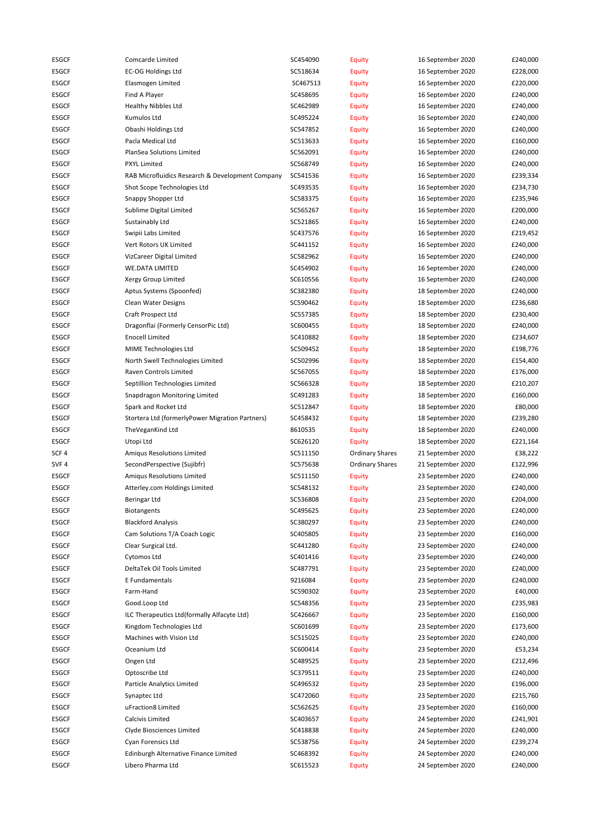| ESGCF            | Comcarde Limited                                 | SC454090 | <b>Equity</b>          | 16 September 2020 | £240,000 |
|------------------|--------------------------------------------------|----------|------------------------|-------------------|----------|
| <b>ESGCF</b>     | <b>EC-OG Holdings Ltd</b>                        | SC518634 | <b>Equity</b>          | 16 September 2020 | £228,000 |
| <b>ESGCF</b>     | Elasmogen Limited                                | SC467513 | <b>Equity</b>          | 16 September 2020 | £220,000 |
| <b>ESGCF</b>     | Find A Player                                    | SC458695 | <b>Equity</b>          | 16 September 2020 | £240,000 |
| <b>ESGCF</b>     | <b>Healthy Nibbles Ltd</b>                       | SC462989 | <b>Equity</b>          | 16 September 2020 | £240,000 |
| <b>ESGCF</b>     | Kumulos Ltd                                      | SC495224 | <b>Equity</b>          | 16 September 2020 | £240,000 |
| <b>ESGCF</b>     | Obashi Holdings Ltd                              | SC547852 | <b>Equity</b>          | 16 September 2020 | £240,000 |
| <b>ESGCF</b>     | Pacla Medical Ltd                                | SC513633 | <b>Equity</b>          | 16 September 2020 | £160,000 |
| <b>ESGCF</b>     | PlanSea Solutions Limited                        | SC562091 | <b>Equity</b>          | 16 September 2020 | £240,000 |
| <b>ESGCF</b>     | <b>PXYL Limited</b>                              | SC568749 |                        | 16 September 2020 | £240,000 |
|                  |                                                  |          | <b>Equity</b>          |                   |          |
| ESGCF            | RAB Microfluidics Research & Development Company | SC541536 | <b>Equity</b>          | 16 September 2020 | £239,334 |
| ESGCF            | Shot Scope Technologies Ltd                      | SC493535 | <b>Equity</b>          | 16 September 2020 | £234,730 |
| <b>ESGCF</b>     | Snappy Shopper Ltd                               | SC583375 | <b>Equity</b>          | 16 September 2020 | £235,946 |
| <b>ESGCF</b>     | Sublime Digital Limited                          | SC565267 | <b>Equity</b>          | 16 September 2020 | £200,000 |
| <b>ESGCF</b>     | Sustainably Ltd                                  | SC521865 | <b>Equity</b>          | 16 September 2020 | £240,000 |
| <b>ESGCF</b>     | Swipii Labs Limited                              | SC437576 | <b>Equity</b>          | 16 September 2020 | £219,452 |
| <b>ESGCF</b>     | Vert Rotors UK Limited                           | SC441152 | <b>Equity</b>          | 16 September 2020 | £240,000 |
| <b>ESGCF</b>     | VizCareer Digital Limited                        | SC582962 | <b>Equity</b>          | 16 September 2020 | £240,000 |
| <b>ESGCF</b>     | <b>WE.DATA LIMITED</b>                           | SC454902 | <b>Equity</b>          | 16 September 2020 | £240,000 |
| <b>ESGCF</b>     | Xergy Group Limited                              | SC610556 | <b>Equity</b>          | 16 September 2020 | £240,000 |
| <b>ESGCF</b>     | Aptus Systems (Spoonfed)                         | SC382380 | <b>Equity</b>          | 18 September 2020 | £240,000 |
| <b>ESGCF</b>     | Clean Water Designs                              | SC590462 | <b>Equity</b>          | 18 September 2020 | £236,680 |
| <b>ESGCF</b>     | Craft Prospect Ltd                               | SC557385 | <b>Equity</b>          | 18 September 2020 | £230,400 |
| <b>ESGCF</b>     | Dragonflai (Formerly CensorPic Ltd)              | SC600455 | <b>Equity</b>          | 18 September 2020 | £240,000 |
| <b>ESGCF</b>     | <b>Enocell Limited</b>                           | SC410882 | <b>Equity</b>          | 18 September 2020 | £234,607 |
| <b>ESGCF</b>     | MIME Technologies Ltd                            | SC509452 | <b>Equity</b>          | 18 September 2020 | £198,776 |
|                  |                                                  | SC502996 |                        |                   |          |
| ESGCF            | North Swell Technologies Limited                 |          | <b>Equity</b>          | 18 September 2020 | £154,400 |
| <b>ESGCF</b>     | Raven Controls Limited                           | SC567055 | <b>Equity</b>          | 18 September 2020 | £176,000 |
| <b>ESGCF</b>     | Septillion Technologies Limited                  | SC566328 | <b>Equity</b>          | 18 September 2020 | £210,207 |
| <b>ESGCF</b>     | Snapdragon Monitoring Limited                    | SC491283 | <b>Equity</b>          | 18 September 2020 | £160,000 |
| <b>ESGCF</b>     | Spark and Rocket Ltd                             | SC512847 | <b>Equity</b>          | 18 September 2020 | £80,000  |
| <b>ESGCF</b>     | Stortera Ltd (formerlyPower Migration Partners)  | SC458432 | <b>Equity</b>          | 18 September 2020 | £239,280 |
| <b>ESGCF</b>     | TheVeganKind Ltd                                 | 8610535  | <b>Equity</b>          | 18 September 2020 | £240,000 |
| <b>ESGCF</b>     | Utopi Ltd                                        | SC626120 | Equity                 | 18 September 2020 | £221,164 |
| SCF <sub>4</sub> | Amigus Resolutions Limited                       | SC511150 | <b>Ordinary Shares</b> | 21 September 2020 | £38,222  |
| SVF <sub>4</sub> | SecondPerspective (Sujibfr)                      | SC575638 | <b>Ordinary Shares</b> | 21 September 2020 | £122,996 |
| <b>ESGCF</b>     | Amiqus Resolutions Limited                       | SC511150 | <b>Equity</b>          | 23 September 2020 | £240,000 |
| <b>ESGCF</b>     | Atterley.com Holdings Limited                    | SC548132 | <b>Equity</b>          | 23 September 2020 | £240,000 |
| <b>ESGCF</b>     | Beringar Ltd                                     | SC536808 | <b>Equity</b>          | 23 September 2020 | £204,000 |
| <b>ESGCF</b>     | <b>Biotangents</b>                               | SC495625 | <b>Equity</b>          | 23 September 2020 | £240,000 |
| <b>ESGCF</b>     | <b>Blackford Analysis</b>                        | SC380297 | <b>Equity</b>          | 23 September 2020 | £240,000 |
| <b>ESGCF</b>     | Cam Solutions T/A Coach Logic                    | SC405805 | <b>Equity</b>          | 23 September 2020 | £160,000 |
| <b>ESGCF</b>     | Clear Surgical Ltd.                              | SC441280 | <b>Equity</b>          | 23 September 2020 | £240,000 |
| ESGCF            | <b>Cytomos Ltd</b>                               | SC401416 | <b>Equity</b>          | 23 September 2020 | £240,000 |
| ESGCF            | DeltaTek Oil Tools Limited                       | SC487791 | Equity                 | 23 September 2020 | £240,000 |
| <b>ESGCF</b>     | E Fundamentals                                   | 9216084  | <b>Equity</b>          | 23 September 2020 | £240,000 |
|                  |                                                  |          |                        | 23 September 2020 |          |
| <b>ESGCF</b>     | Farm-Hand                                        | SC590302 | <b>Equity</b>          |                   | £40,000  |
| <b>ESGCF</b>     | Good.Loop Ltd                                    | SC548356 | <b>Equity</b>          | 23 September 2020 | £235,983 |
| <b>ESGCF</b>     | ILC Therapeutics Ltd(formally Alfacyte Ltd)      | SC426667 | <b>Equity</b>          | 23 September 2020 | £160,000 |
| <b>ESGCF</b>     | Kingdom Technologies Ltd                         | SC601699 | <b>Equity</b>          | 23 September 2020 | £173,600 |
| <b>ESGCF</b>     | Machines with Vision Ltd                         | SC515025 | <b>Equity</b>          | 23 September 2020 | £240,000 |
| <b>ESGCF</b>     | Oceanium Ltd                                     | SC600414 | <b>Equity</b>          | 23 September 2020 | £53,234  |
| <b>ESGCF</b>     |                                                  |          |                        |                   |          |
| <b>ESGCF</b>     | Ongen Ltd                                        | SC489525 | <b>Equity</b>          | 23 September 2020 | £212,496 |
|                  | Optoscribe Ltd                                   | SC379511 | <b>Equity</b>          | 23 September 2020 | £240,000 |
| <b>ESGCF</b>     | Particle Analytics Limited                       | SC496532 | <b>Equity</b>          | 23 September 2020 | £196,000 |
| <b>ESGCF</b>     | Synaptec Ltd                                     | SC472060 | <b>Equity</b>          | 23 September 2020 | £215,760 |
| ESGCF            | uFraction8 Limited                               | SC562625 | <b>Equity</b>          | 23 September 2020 | £160,000 |
| ESGCF            | Calcivis Limited                                 | SC403657 | <b>Equity</b>          | 24 September 2020 | £241,901 |
| <b>ESGCF</b>     | Clyde Biosciences Limited                        | SC418838 | <b>Equity</b>          | 24 September 2020 | £240,000 |
| ESGCF            | Cyan Forensics Ltd                               | SC538756 | <b>Equity</b>          | 24 September 2020 | £239,274 |
| ESGCF            | Edinburgh Alternative Finance Limited            | SC468392 | <b>Equity</b>          | 24 September 2020 | £240,000 |
| ESGCF            | Libero Pharma Ltd                                | SC615523 | <b>Equity</b>          | 24 September 2020 | £240,000 |